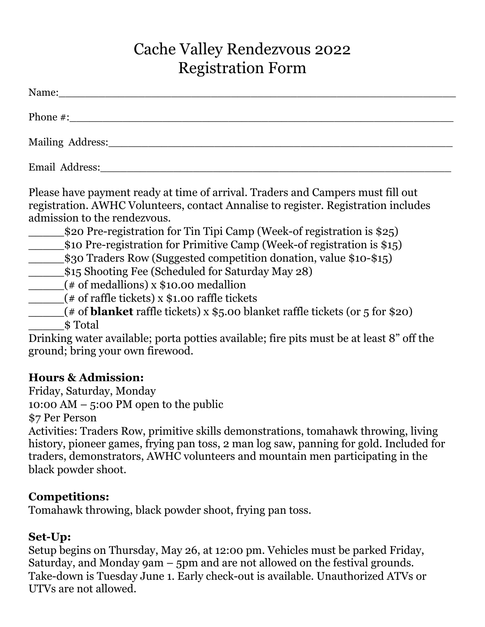# Cache Valley Rendezvous 2022 Registration Form

| Name: when the contract of the contract of the contract of the contract of the contract of the contract of the contract of the contract of the contract of the contract of the contract of the contract of the contract of the                                                                                                                                                                                                                                                                                                                                                                                                                                                              |
|---------------------------------------------------------------------------------------------------------------------------------------------------------------------------------------------------------------------------------------------------------------------------------------------------------------------------------------------------------------------------------------------------------------------------------------------------------------------------------------------------------------------------------------------------------------------------------------------------------------------------------------------------------------------------------------------|
| Phone #:                                                                                                                                                                                                                                                                                                                                                                                                                                                                                                                                                                                                                                                                                    |
| Mailing Address:                                                                                                                                                                                                                                                                                                                                                                                                                                                                                                                                                                                                                                                                            |
| Email Address: No. 1996                                                                                                                                                                                                                                                                                                                                                                                                                                                                                                                                                                                                                                                                     |
| Please have payment ready at time of arrival. Traders and Campers must fill out<br>registration. AWHC Volunteers, contact Annalise to register. Registration includes<br>admission to the rendezyous.<br>\$20 Pre-registration for Tin Tipi Camp (Week-of registration is \$25)<br>\$10 Pre-registration for Primitive Camp (Week-of registration is \$15)<br>(# of medallions) x \$10.00 medallion<br>(# of raffle tickets) x \$1.00 raffle tickets<br>$($ # of <b>blanket</b> raffle tickets) x $$5.00$ blanket raffle tickets (or 5 for \$20)<br>\$Total<br>Drinking water available; porta potties available; fire pits must be at least 8" off the<br>ground; bring your own firewood. |
| <b>Hours &amp; Admission:</b>                                                                                                                                                                                                                                                                                                                                                                                                                                                                                                                                                                                                                                                               |

Friday, Saturday, Monday

10:00 AM – 5:00 PM open to the public

\$7 Per Person

Activities: Traders Row, primitive skills demonstrations, tomahawk throwing, living history, pioneer games, frying pan toss, 2 man log saw, panning for gold. Included for traders, demonstrators, AWHC volunteers and mountain men participating in the black powder shoot.

# **Competitions:**

Tomahawk throwing, black powder shoot, frying pan toss.

# **Set-Up:**

Setup begins on Thursday, May 26, at 12:00 pm. Vehicles must be parked Friday, Saturday, and Monday 9am – 5pm and are not allowed on the festival grounds. Take-down is Tuesday June 1. Early check-out is available. Unauthorized ATVs or UTVs are not allowed.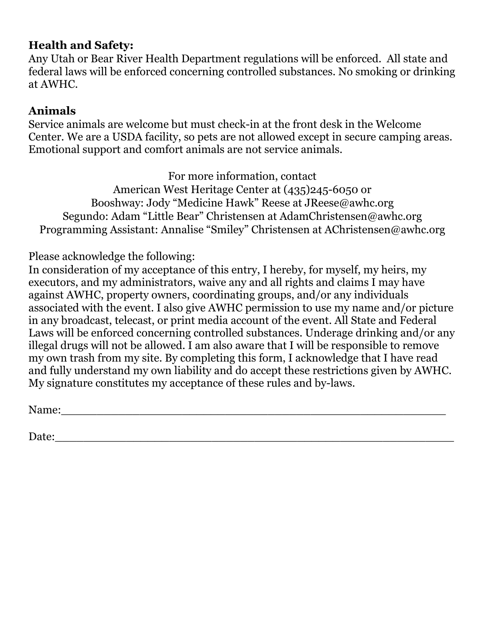# **Health and Safety:**

Any Utah or Bear River Health Department regulations will be enforced. All state and federal laws will be enforced concerning controlled substances. No smoking or drinking at AWHC.

# **Animals**

Service animals are welcome but must check-in at the front desk in the Welcome Center. We are a USDA facility, so pets are not allowed except in secure camping areas. Emotional support and comfort animals are not service animals.

For more information, contact

American West Heritage Center at (435)245-6050 or Booshway: Jody "Medicine Hawk" Reese at JReese@awhc.org Segundo: Adam "Little Bear" Christensen at AdamChristensen@awhc.org Programming Assistant: Annalise "Smiley" Christensen at AChristensen@awhc.org

Please acknowledge the following:

In consideration of my acceptance of this entry, I hereby, for myself, my heirs, my executors, and my administrators, waive any and all rights and claims I may have against AWHC, property owners, coordinating groups, and/or any individuals associated with the event. I also give AWHC permission to use my name and/or picture in any broadcast, telecast, or print media account of the event. All State and Federal Laws will be enforced concerning controlled substances. Underage drinking and/or any illegal drugs will not be allowed. I am also aware that I will be responsible to remove my own trash from my site. By completing this form, I acknowledge that I have read and fully understand my own liability and do accept these restrictions given by AWHC. My signature constitutes my acceptance of these rules and by-laws.

Name:

Date: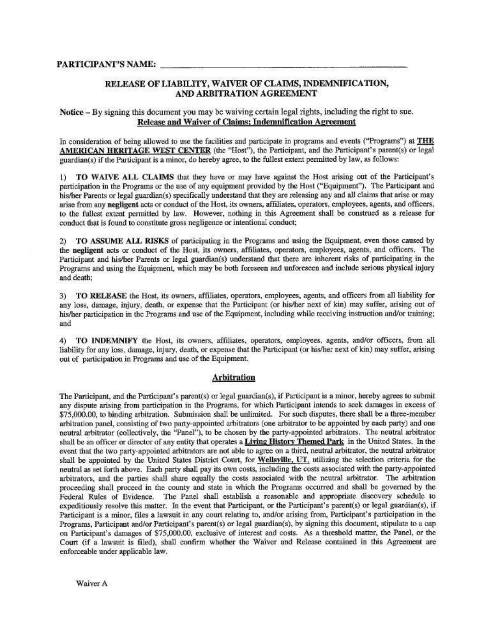### RELEASE OF LIABILITY, WAIVER OF CLAIMS, INDEMNIFICATION, AND ARBITRATION AGREEMENT

#### Notice – By signing this document you may be waiving certain legal rights, including the right to sue. Release and Waiver of Claims; Indemnification Agreement

In consideration of being allowed to use the facilities and participate in programs and events ("Programs") at THE AMERICAN HERITAGE WEST CENTER (the "Host"), the Participant, and the Participant's parent(s) or legal guardian(s) if the Participant is a minor, do hereby agree, to the fullest extent permitted by law, as follows:

1) TO WAIVE ALL CLAIMS that they have or may have against the Host arising out of the Participant's participation in the Programs or the use of any equipment provided by the Host ("Equipment"). The Participant and his/her Parents or legal guardian(s) specifically understand that they are releasing any and all claims that arise or may arise from any negligent acts or conduct of the Host, its owners, affiliates, operators, employees, agents, and officers, to the fullest extent permitted by law. However, nothing in this Agreement shall be construed as a release for conduct that is found to constitute gross negligence or intentional conduct;

2) TO ASSUME ALL RISKS of participating in the Programs and using the Equipment, even those caused by the negligent acts or conduct of the Host, its owners, affiliates, operators, employees, agents, and officers. The Participant and his/her Parents or legal guardian(s) understand that there are inherent risks of participating in the Programs and using the Equipment, which may be both foreseen and unforeseen and include serious physical injury and death:

3) TO RELEASE the Host, its owners, affiliates, operators, employees, agents, and officers from all liability for any loss, damage, injury, death, or expense that the Participant (or his/her next of kin) may suffer, arising out of his/her participation in the Programs and use of the Equipment, including while receiving instruction and/or training; and

TO INDEMNIFY the Host, its owners, affiliates, operators, employees, agents, and/or officers, from all  $4)$ liability for any loss, damage, injury, death, or expense that the Participant (or his/her next of kin) may suffer, arising out of participation in Programs and use of the Equipment.

### **Arbitration**

The Participant, and the Participant's parent(s) or legal guardian(s), if Participant is a minor, hereby agrees to submit any dispute arising from participation in the Programs, for which Participant intends to seek damages in excess of \$75,000.00, to binding arbitration. Submission shall be unlimited. For such disputes, there shall be a three-member arbitration panel, consisting of two party-appointed arbitrators (one arbitrator to be appointed by each party) and one neutral arbitrator (collectively, the "Panel"), to be chosen by the party-appointed arbitrators. The neutral arbitrator shall be an officer or director of any entity that operates a **Living History Themed Park** in the United States. In the event that the two party-appointed arbitrators are not able to agree on a third, neutral arbitrator, the neutral arbitrator shall be appointed by the United States District Court, for Wellsville, UT, utilizing the selection criteria for the neutral as set forth above. Each party shall pay its own costs, including the costs associated with the party-appointed arbitrators, and the parties shall share equally the costs associated with the neutral arbitrator. The arbitration proceeding shall proceed in the county and state in which the Programs occurred and shall be governed by the Federal Rules of Evidence. The Panel shall establish a reasonable and appropriate discovery schedule to expeditiously resolve this matter. In the event that Participant, or the Participant's parent(s) or legal guardian(s), if Participant is a minor, files a lawsuit in any court relating to, and/or arising from. Participant's participation in the Programs, Participant and/or Participant's parent(s) or legal guardian(s), by signing this document, stipulate to a cap on Participant's damages of \$75,000,00, exclusive of interest and costs. As a threshold matter, the Panel, or the Court (if a lawsuit is filed), shall confirm whether the Waiver and Release contained in this Agreement are enforceable under applicable law.

Waiver A